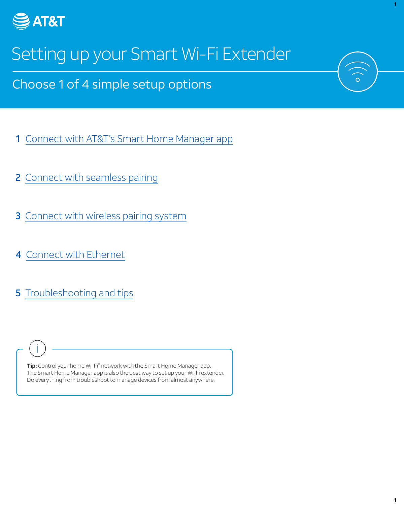

# Setting up your Smart Wi-Fi Extender

Choose 1 of 4 simple setup options

- [1](#page-1-0) [Connect with AT&T's Smart Home Manager app](#page-1-0)
- [2](#page-2-0) [Connect with seamless pairing](#page-2-0)
- **[3](#page-3-0)** Connect with wireless pairing system
- [4](#page-4-0) [Connect with Ethernet](#page-4-0)
- **5** [Troubleshooting and tips](#page-5-0)

**Tip:** Control your home Wi-Fi® network with the Smart Home Manager app. The Smart Home Manager app is also the best way to set up your Wi-Fi extender. Do everything from troubleshoot to manage devices from almost anywhere.

1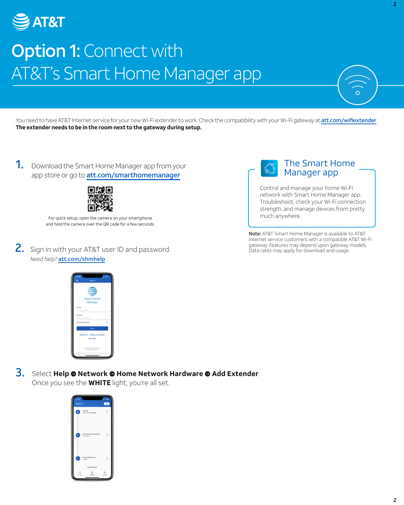<span id="page-1-0"></span>

### **Option 1: Connect with** AT&T's Smart Home Manager app

You need to have AT&T Internet service for your new Wi-Fi extender to work. Check the compatibility with your Wi-Fi gateway at [att.com/wifiextender](https://att.com/wifiextender) **The extender needs to be in the room next to the gateway during setup.** 

1. Download the Smart Home Manager app from your app store or go to [att.com/smarthomemanager](https://att.com/smarthomemanager)



For quick setup, open the camera on your smartphone and hold the camera over the QR code for a few seconds.

2. Sign in with your AT&T user ID and password. *Need help?* [att.com/shmhelp](https://att.com/shmhelp)



Control and manage your home Wi-Fi network with Smart Home Manager app. Troubleshoot, check your Wi-Fi connection strength, and manage devices from pretty much anywhere.

Note: AT&T Smart Home Manager is available to AT&T Internet service customers with a compatible AT&T Wi-Fi gateway. Features may depend upon gateway models. Data rates may apply for download and usage.



**3.** Select **Help**  $\bullet$  **Network**  $\bullet$  **Home Network Hardware**  $\bullet$  **Add Extender.** 

Once you see the **WHITE** light, you're all set.

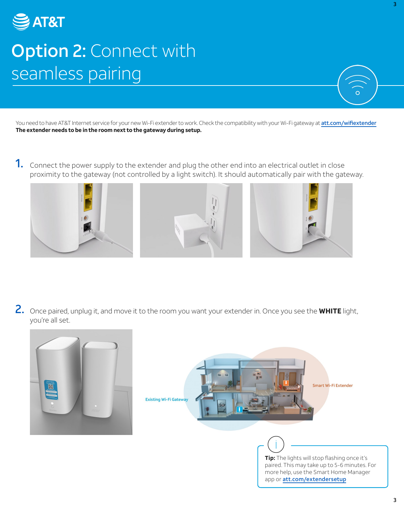<span id="page-2-0"></span>

### **Option 2: Connect with** seamless pairing

You need to have AT&T Internet service for your new Wi-Fi extender to work. Check the compatibility with your Wi-Fi gateway at [att.com/wifiextender](https://att.com/wifiextender) **The extender needs to be in the room next to the gateway during setup.** 

1. Connect the power supply to the extender and plug the other end into an electrical outlet in close proximity to the gateway (not controlled by a light switch). It should automatically pair with the gateway.



2. Once paired, unplug it, and move it to the room you want your extender in. Once you see the **WHITE** light, you're all set.





**Tip:** The lights will stop flashing once it's paired. This may take up to 5-6 minutes. For more help, use the Smart Home Manager app or [att.com/extendersetup](https://att.com/extendersetup)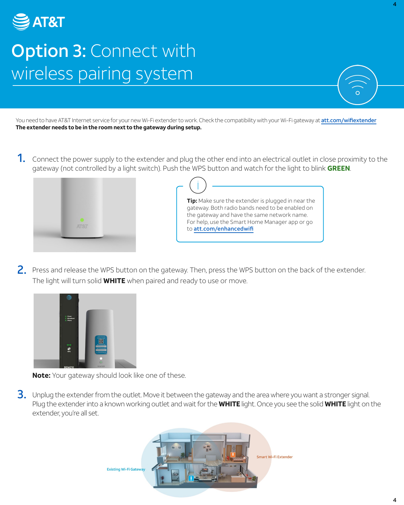<span id="page-3-0"></span>

#### **Option 3: Connect with** wireless pairing system

You need to have AT&T Internet service for your new Wi-Fi extender to work. Check the compatibility with your Wi-Fi gateway at [att.com/wifiextender](https://att.com/wifiextender) **The extender needs to be in the room next to the gateway during setup.** 

1. Connect the power supply to the extender and plug the other end into an electrical outlet in close proximity to the gateway (not controlled by a light switch). Push the WPS button and watch for the light to blink **GREEN**.



**Tip:** Make sure the extender is plugged in near the gateway. Both radio bands need to be enabled on the gateway and have the same network name. For help, use the Smart Home Manager app or go to [att.com/enhancedwifi](https://att.com/enhancedwifi)

2. Press and release the WPS button on the gateway. Then, press the WPS button on the back of the extender. The light will turn solid **WHITE** when paired and ready to use or move.



**Note:** Your gateway should look like one of these.

3. Unplug the extender from the outlet. Move it between the gateway and the area where you want a stronger signal. Plug the extender into a known working outlet and wait for the **WHITE** light. Once you see the solid **WHITE** light on the extender, you're all set.



4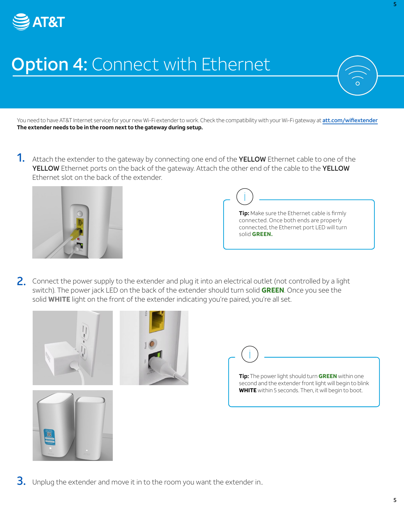<span id="page-4-0"></span>

# **Option 4: Connect with Ethernet**

You need to have AT&T Internet service for your new Wi-Fi extender to work. Check the compatibility with your Wi-Fi gateway at [att.com/wifiextender](https://att.com/wifiextender) **The extender needs to be in the room next to the gateway during setup.** 

1. Attach the extender to the gateway by connecting one end of the YELLOW Ethernet cable to one of the YELLOW Ethernet ports on the back of the gateway. Attach the other end of the cable to the YELLOW Ethernet slot on the back of the extender.



**Tip:** Make sure the Ethernet cable is firmly connected. Once both ends are properly connected, the Ethernet port LED will turn solid **GREEN.** 

 switch). The power jack LED on the back of the extender should turn solid **GREEN**. Once you see the 2. Connect the power supply to the extender and plug it into an electrical outlet (not controlled by a light solid **WHITE** light on the front of the extender indicating you're paired, you're all set.